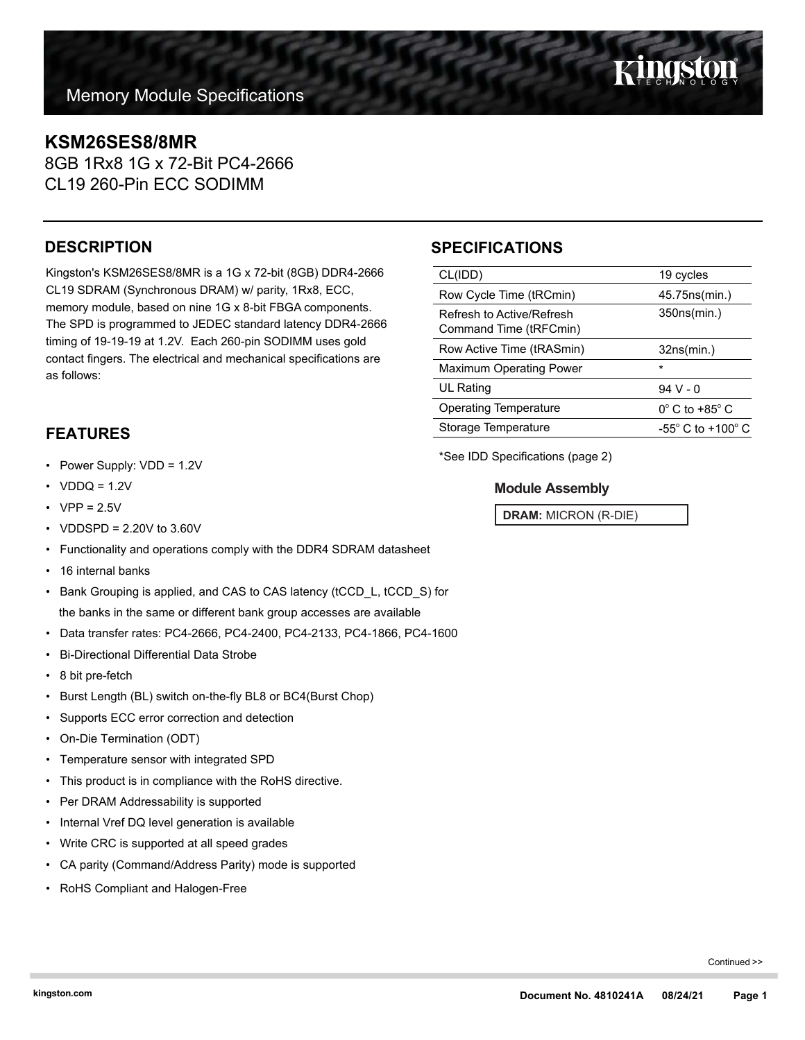## **KSM26SES8/8MR**

8GB 1Rx8 1G x 72-Bit PC4-2666 CL19 260-Pin ECC SODIMM

## **DESCRIPTION**

Kingston's KSM26SES8/8MR is a 1G x 72-bit (8GB) DDR4-2666 CL19 SDRAM (Synchronous DRAM) w/ parity, 1Rx8, ECC, memory module, based on nine 1G x 8-bit FBGA components. The SPD is programmed to JEDEC standard latency DDR4-2666 timing of 19-19-19 at 1.2V. Each 260-pin SODIMM uses gold contact fingers. The electrical and mechanical specifications are as follows:

## **FEATURES**

- Power Supply: VDD = 1.2V
- $VDDQ = 1.2V$
- $VPP = 2.5V$
- VDDSPD = 2.20V to 3.60V
- Functionality and operations comply with the DDR4 SDRAM datasheet
- 16 internal banks
- Bank Grouping is applied, and CAS to CAS latency (tCCD\_L, tCCD\_S) for the banks in the same or different bank group accesses are available
- Data transfer rates: PC4-2666, PC4-2400, PC4-2133, PC4-1866, PC4-1600
- Bi-Directional Differential Data Strobe
- 8 bit pre-fetch
- Burst Length (BL) switch on-the-fly BL8 or BC4(Burst Chop)
- Supports ECC error correction and detection
- On-Die Termination (ODT)
- Temperature sensor with integrated SPD
- This product is in compliance with the RoHS directive.
- Per DRAM Addressability is supported
- Internal Vref DQ level generation is available
- Write CRC is supported at all speed grades
- CA parity (Command/Address Parity) mode is supported
- RoHS Compliant and Halogen-Free

## **SPECIFICATIONS**

| CL(IDD)                                             | 19 cycles                           |
|-----------------------------------------------------|-------------------------------------|
| Row Cycle Time (tRCmin)                             | 45.75ns(min.)                       |
| Refresh to Active/Refresh<br>Command Time (tRFCmin) | 350ns(min.)                         |
| Row Active Time (tRASmin)                           | 32ns(min.)                          |
| <b>Maximum Operating Power</b>                      | $\star$                             |
| UL Rating                                           | $94V - 0$                           |
| <b>Operating Temperature</b>                        | $0^{\circ}$ C to +85 $^{\circ}$ C   |
| Storage Temperature                                 | $-55^{\circ}$ C to $+100^{\circ}$ C |
|                                                     |                                     |

\*See IDD Specifications (page 2)

### **Module Assembly**

**DRAM:** MICRON (R-DIE)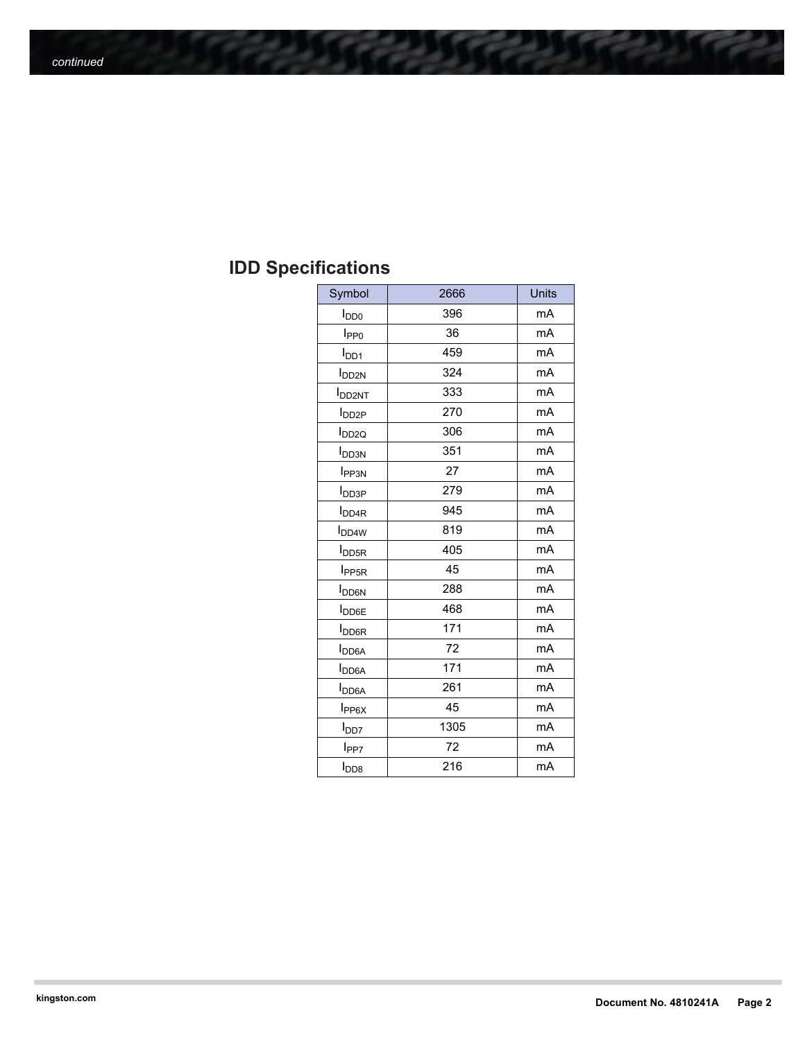# **IDD Specifications**

| Symbol                    | 2666 | <b>Units</b> |
|---------------------------|------|--------------|
| $I_{DD0}$                 | 396  | mA           |
| I <sub>PP0</sub>          | 36   | mA           |
| $I_{DD1}$                 | 459  | mA           |
| <b>I</b> <sub>DD2N</sub>  | 324  | mA           |
| <b>I</b> DD2NT            | 333  | mA           |
| <b>I</b> DD <sub>2P</sub> | 270  | mA           |
| $I_{DD2Q}$                | 306  | mA           |
| I <sub>DD3N</sub>         | 351  | mA           |
| <b>I</b> PP3N             | 27   | mA           |
| $I_{\text{DD3P}}$         | 279  | mA           |
| <b>I</b> <sub>DD4R</sub>  | 945  | mA           |
| <b>I</b> <sub>DD4W</sub>  | 819  | mA           |
| <b>I</b> <sub>DD5R</sub>  | 405  | mA           |
| I <sub>PP5R</sub>         | 45   | mA           |
| <b>I</b> <sub>DD6N</sub>  | 288  | mA           |
| <b>I</b> DD6E             | 468  | mA           |
| <b>I</b> DD6R             | 171  | mA           |
| <b>I</b> <sub>DD6A</sub>  | 72   | mA           |
| <b>I</b> DD6A             | 171  | mA           |
| <b>I</b> <sub>DD6A</sub>  | 261  | mA           |
| I <sub>PP6X</sub>         | 45   | mA           |
| l <sub>DD7</sub>          | 1305 | mA           |
| l <sub>PP7</sub>          | 72   | mA           |
| I <sub>DD8</sub>          | 216  | mA           |